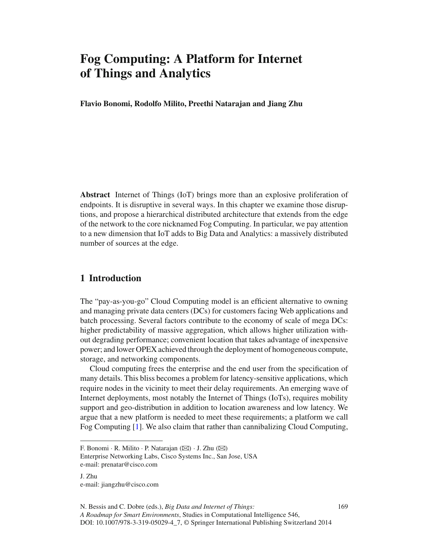# **Fog Computing: A Platform for Internet of Things and Analytics**

**Flavio Bonomi, Rodolfo Milito, Preethi Natarajan and Jiang Zhu**

**Abstract** Internet of Things (IoT) brings more than an explosive proliferation of endpoints. It is disruptive in several ways. In this chapter we examine those disruptions, and propose a hierarchical distributed architecture that extends from the edge of the network to the core nicknamed Fog Computing. In particular, we pay attention to a new dimension that IoT adds to Big Data and Analytics: a massively distributed number of sources at the edge.

### **1 Introduction**

The "pay-as-you-go" Cloud Computing model is an efficient alternative to owning and managing private data centers (DCs) for customers facing Web applications and batch processing. Several factors contribute to the economy of scale of mega DCs: higher predictability of massive aggregation, which allows higher utilization without degrading performance; convenient location that takes advantage of inexpensive power; and lower OPEX achieved through the deployment of homogeneous compute, storage, and networking components.

Cloud computing frees the enterprise and the end user from the specification of many details. This bliss becomes a problem for latency-sensitive applications, which require nodes in the vicinity to meet their delay requirements. An emerging wave of Internet deployments, most notably the Internet of Things (IoTs), requires mobility support and geo-distribution in addition to location awareness and low latency. We argue that a new platform is needed to meet these requirements; a platform we call Fog Computing [1]. We also claim that rather than cannibalizing Cloud Computing,

F. Bonomi · R. Milito · P. Natarajan  $(\boxtimes)$  · J. Zhu  $(\boxtimes)$ 

Enterprise Networking Labs, Cisco Systems Inc., San Jose, USA e-mail: prenatar@cisco.com

J. Zhu e-mail: jiangzhu@cisco.com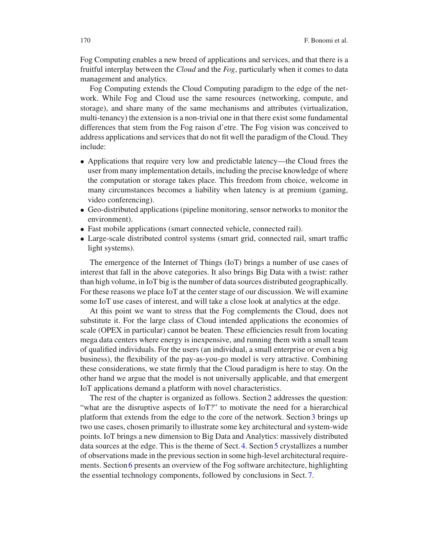Fog Computing enables a new breed of applications and services, and that there is a fruitful interplay between the *Cloud* and the *Fog*, particularly when it comes to data management and analytics.

Fog Computing extends the Cloud Computing paradigm to the edge of the network. While Fog and Cloud use the same resources (networking, compute, and storage), and share many of the same mechanisms and attributes (virtualization, multi-tenancy) the extension is a non-trivial one in that there exist some fundamental differences that stem from the Fog raison d'etre. The Fog vision was conceived to address applications and services that do not fit well the paradigm of the Cloud. They include:

- Applications that require very low and predictable latency—the Cloud frees the user from many implementation details, including the precise knowledge of where the computation or storage takes place. This freedom from choice, welcome in many circumstances becomes a liability when latency is at premium (gaming, video conferencing).
- Geo-distributed applications (pipeline monitoring, sensor networks to monitor the environment).
- Fast mobile applications (smart connected vehicle, connected rail).
- Large-scale distributed control systems (smart grid, connected rail, smart traffic light systems).

The emergence of the Internet of Things (IoT) brings a number of use cases of interest that fall in the above categories. It also brings Big Data with a twist: rather than high volume, in IoT big is the number of data sources distributed geographically. For these reasons we place IoT at the center stage of our discussion. We will examine some IoT use cases of interest, and will take a close look at analytics at the edge.

At this point we want to stress that the Fog complements the Cloud, does not substitute it. For the large class of Cloud intended applications the economies of scale (OPEX in particular) cannot be beaten. These efficiencies result from locating mega data centers where energy is inexpensive, and running them with a small team of qualified individuals. For the users (an individual, a small enterprise or even a big business), the flexibility of the pay-as-you-go model is very attractive. Combining these considerations, we state firmly that the Cloud paradigm is here to stay. On the other hand we argue that the model is not universally applicable, and that emergent IoT applications demand a platform with novel characteristics.

The rest of the chapter is organized as follows. Section 2 addresses the question: "what are the disruptive aspects of IoT?" to motivate the need for a hierarchical platform that extends from the edge to the core of the network. Section 3 brings up two use cases, chosen primarily to illustrate some key architectural and system-wide points. IoT brings a new dimension to Big Data and Analytics: massively distributed data sources at the edge. This is the theme of Sect. 4. Section 5 crystallizes a number of observations made in the previous section in some high-level architectural requirements. Section 6 presents an overview of the Fog software architecture, highlighting the essential technology components, followed by conclusions in Sect. 7.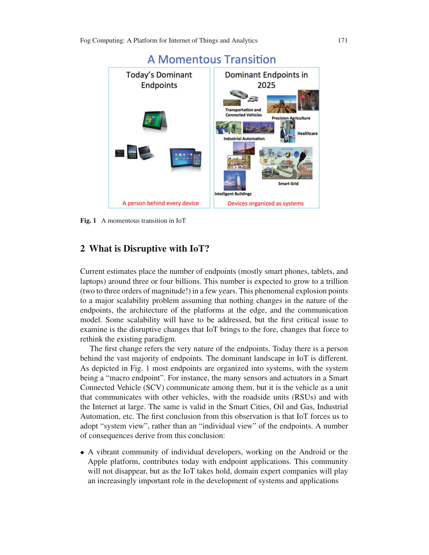

## **A Momentous Transition**

**Fig. 1** A momentous transition in IoT

### **2 What is Disruptive with IoT?**

Current estimates place the number of endpoints (mostly smart phones, tablets, and laptops) around three or four billions. This number is expected to grow to a trillion (two to three orders of magnitude!) in a few years. This phenomenal explosion points to a major scalability problem assuming that nothing changes in the nature of the endpoints, the architecture of the platforms at the edge, and the communication model. Some scalability will have to be addressed, but the first critical issue to examine is the disruptive changes that IoT brings to the fore, changes that force to rethink the existing paradigm.

The first change refers the very nature of the endpoints. Today there is a person behind the vast majority of endpoints. The dominant landscape in IoT is different. As depicted in Fig. 1 most endpoints are organized into systems, with the system being a "macro endpoint". For instance, the many sensors and actuators in a Smart Connected Vehicle (SCV) communicate among them, but it is the vehicle as a unit that communicates with other vehicles, with the roadside units (RSUs) and with the Internet at large. The same is valid in the Smart Cities, Oil and Gas, Industrial Automation, etc. The first conclusion from this observation is that IoT forces us to adopt "system view", rather than an "individual view" of the endpoints. A number of consequences derive from this conclusion:

• A vibrant community of individual developers, working on the Android or the Apple platform, contributes today with endpoint applications. This community will not disappear, but as the IoT takes hold, domain expert companies will play an increasingly important role in the development of systems and applications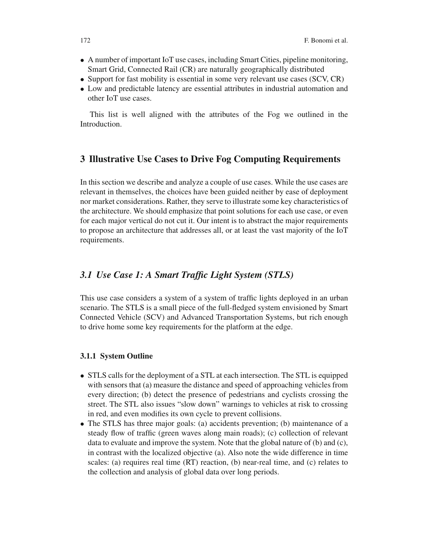- A number of important IoT use cases, including Smart Cities, pipeline monitoring, Smart Grid, Connected Rail (CR) are naturally geographically distributed
- Support for fast mobility is essential in some very relevant use cases (SCV, CR)
- Low and predictable latency are essential attributes in industrial automation and other IoT use cases.

This list is well aligned with the attributes of the Fog we outlined in the Introduction.

#### **3 Illustrative Use Cases to Drive Fog Computing Requirements**

In this section we describe and analyze a couple of use cases. While the use cases are relevant in themselves, the choices have been guided neither by ease of deployment nor market considerations. Rather, they serve to illustrate some key characteristics of the architecture. We should emphasize that point solutions for each use case, or even for each major vertical do not cut it. Our intent is to abstract the major requirements to propose an architecture that addresses all, or at least the vast majority of the IoT requirements.

#### *3.1 Use Case 1: A Smart Traffic Light System (STLS)*

This use case considers a system of a system of traffic lights deployed in an urban scenario. The STLS is a small piece of the full-fledged system envisioned by Smart Connected Vehicle (SCV) and Advanced Transportation Systems, but rich enough to drive home some key requirements for the platform at the edge.

#### **3.1.1 System Outline**

- STLS calls for the deployment of a STL at each intersection. The STL is equipped with sensors that (a) measure the distance and speed of approaching vehicles from every direction; (b) detect the presence of pedestrians and cyclists crossing the street. The STL also issues "slow down" warnings to vehicles at risk to crossing in red, and even modifies its own cycle to prevent collisions.
- The STLS has three major goals: (a) accidents prevention; (b) maintenance of a steady flow of traffic (green waves along main roads); (c) collection of relevant data to evaluate and improve the system. Note that the global nature of (b) and (c), in contrast with the localized objective (a). Also note the wide difference in time scales: (a) requires real time (RT) reaction, (b) near-real time, and (c) relates to the collection and analysis of global data over long periods.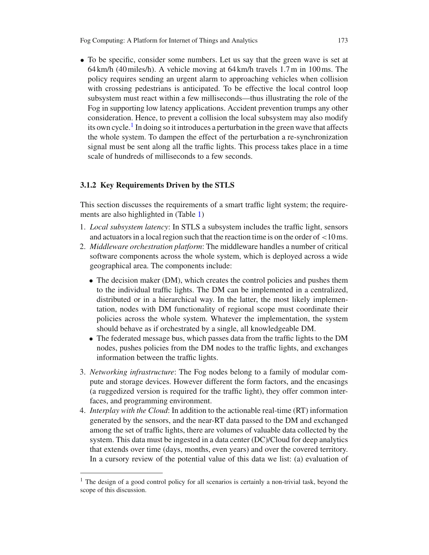• To be specific, consider some numbers. Let us say that the green wave is set at 64 km/h (40 miles/h). A vehicle moving at 64 km/h travels 1.7 m in 100 ms. The policy requires sending an urgent alarm to approaching vehicles when collision with crossing pedestrians is anticipated. To be effective the local control loop subsystem must react within a few milliseconds—thus illustrating the role of the Fog in supporting low latency applications. Accident prevention trumps any other consideration. Hence, to prevent a collision the local subsystem may also modify its own cycle.<sup>1</sup> In doing so it introduces a perturbation in the green wave that affects the whole system. To dampen the effect of the perturbation a re-synchronization signal must be sent along all the traffic lights. This process takes place in a time scale of hundreds of milliseconds to a few seconds.

#### **3.1.2 Key Requirements Driven by the STLS**

This section discusses the requirements of a smart traffic light system; the requirements are also highlighted in (Table 1)

- 1. *Local subsystem latency*: In STLS a subsystem includes the traffic light, sensors and actuators in a local region such that the reaction time is on the order of *<*10 ms.
- 2. *Middleware orchestration platform*: The middleware handles a number of critical software components across the whole system, which is deployed across a wide geographical area. The components include:
	- The decision maker (DM), which creates the control policies and pushes them to the individual traffic lights. The DM can be implemented in a centralized, distributed or in a hierarchical way. In the latter, the most likely implementation, nodes with DM functionality of regional scope must coordinate their policies across the whole system. Whatever the implementation, the system should behave as if orchestrated by a single, all knowledgeable DM.
	- The federated message bus, which passes data from the traffic lights to the DM nodes, pushes policies from the DM nodes to the traffic lights, and exchanges information between the traffic lights.
- 3. *Networking infrastructure*: The Fog nodes belong to a family of modular compute and storage devices. However different the form factors, and the encasings (a ruggedized version is required for the traffic light), they offer common interfaces, and programming environment.
- 4. *Interplay with the Cloud*: In addition to the actionable real-time (RT) information generated by the sensors, and the near-RT data passed to the DM and exchanged among the set of traffic lights, there are volumes of valuable data collected by the system. This data must be ingested in a data center (DC)/Cloud for deep analytics that extends over time (days, months, even years) and over the covered territory. In a cursory review of the potential value of this data we list: (a) evaluation of

<sup>&</sup>lt;sup>1</sup> The design of a good control policy for all scenarios is certainly a non-trivial task, beyond the scope of this discussion.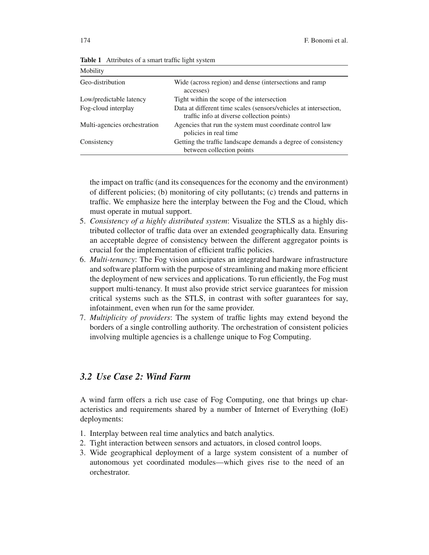| Mobility                     |                                                                                                                |
|------------------------------|----------------------------------------------------------------------------------------------------------------|
| Geo-distribution             | Wide (across region) and dense (intersections and ramp<br>accesses)                                            |
| Low/predictable latency      | Tight within the scope of the intersection                                                                     |
| Fog-cloud interplay          | Data at different time scales (sensors/vehicles at intersection,<br>traffic info at diverse collection points) |
| Multi-agencies orchestration | Agencies that run the system must coordinate control law<br>policies in real time                              |
| Consistency                  | Getting the traffic landscape demands a degree of consistency<br>between collection points                     |

**Table 1** Attributes of a smart traffic light system

the impact on traffic (and its consequences for the economy and the environment) of different policies; (b) monitoring of city pollutants; (c) trends and patterns in traffic. We emphasize here the interplay between the Fog and the Cloud, which must operate in mutual support.

- 5. *Consistency of a highly distributed system*: Visualize the STLS as a highly distributed collector of traffic data over an extended geographically data. Ensuring an acceptable degree of consistency between the different aggregator points is crucial for the implementation of efficient traffic policies.
- 6. *Multi-tenancy*: The Fog vision anticipates an integrated hardware infrastructure and software platform with the purpose of streamlining and making more efficient the deployment of new services and applications. To run efficiently, the Fog must support multi-tenancy. It must also provide strict service guarantees for mission critical systems such as the STLS, in contrast with softer guarantees for say, infotainment, even when run for the same provider.
- 7. *Multiplicity of providers*: The system of traffic lights may extend beyond the borders of a single controlling authority. The orchestration of consistent policies involving multiple agencies is a challenge unique to Fog Computing.

#### *3.2 Use Case 2: Wind Farm*

A wind farm offers a rich use case of Fog Computing, one that brings up characteristics and requirements shared by a number of Internet of Everything (IoE) deployments:

- 1. Interplay between real time analytics and batch analytics.
- 2. Tight interaction between sensors and actuators, in closed control loops.
- 3. Wide geographical deployment of a large system consistent of a number of autonomous yet coordinated modules—which gives rise to the need of an orchestrator.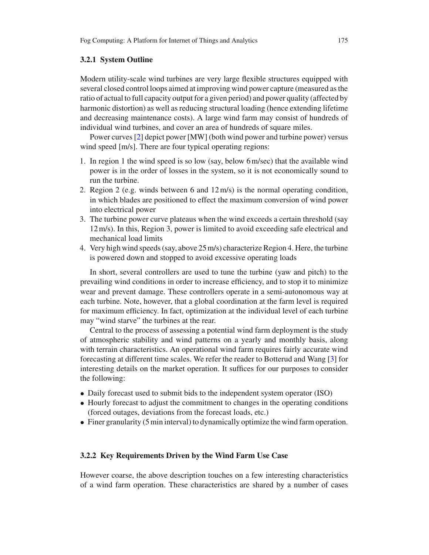#### **3.2.1 System Outline**

Modern utility-scale wind turbines are very large flexible structures equipped with several closed control loops aimed at improving wind power capture (measured as the ratio of actual to full capacity output for a given period) and power quality (affected by harmonic distortion) as well as reducing structural loading (hence extending lifetime and decreasing maintenance costs). A large wind farm may consist of hundreds of individual wind turbines, and cover an area of hundreds of square miles.

Power curves [2] depict power [MW] (both wind power and turbine power) versus wind speed [m/s]. There are four typical operating regions:

- 1. In region 1 the wind speed is so low (say, below 6 m/sec) that the available wind power is in the order of losses in the system, so it is not economically sound to run the turbine.
- 2. Region 2 (e.g. winds between 6 and 12 m/s) is the normal operating condition, in which blades are positioned to effect the maximum conversion of wind power into electrical power
- 3. The turbine power curve plateaus when the wind exceeds a certain threshold (say 12 m/s). In this, Region 3, power is limited to avoid exceeding safe electrical and mechanical load limits
- 4. Very high wind speeds (say, above 25 m/s) characterize Region 4. Here, the turbine is powered down and stopped to avoid excessive operating loads

In short, several controllers are used to tune the turbine (yaw and pitch) to the prevailing wind conditions in order to increase efficiency, and to stop it to minimize wear and prevent damage. These controllers operate in a semi-autonomous way at each turbine. Note, however, that a global coordination at the farm level is required for maximum efficiency. In fact, optimization at the individual level of each turbine may "wind starve" the turbines at the rear.

Central to the process of assessing a potential wind farm deployment is the study of atmospheric stability and wind patterns on a yearly and monthly basis, along with terrain characteristics. An operational wind farm requires fairly accurate wind forecasting at different time scales. We refer the reader to Botterud and Wang [3] for interesting details on the market operation. It suffices for our purposes to consider the following:

- Daily forecast used to submit bids to the independent system operator (ISO)
- Hourly forecast to adjust the commitment to changes in the operating conditions (forced outages, deviations from the forecast loads, etc.)
- Finer granularity (5 min interval) to dynamically optimize the wind farm operation.

#### **3.2.2 Key Requirements Driven by the Wind Farm Use Case**

However coarse, the above description touches on a few interesting characteristics of a wind farm operation. These characteristics are shared by a number of cases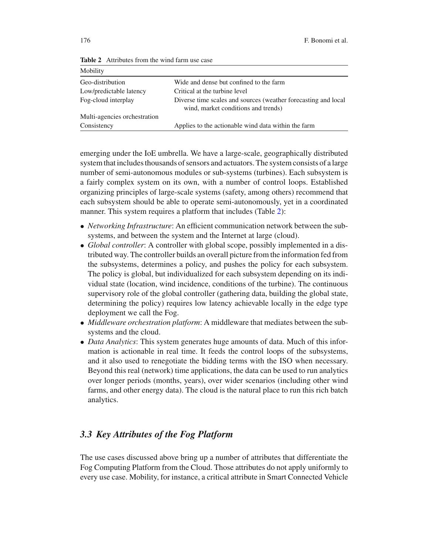| Mobility                     |                                                                                                       |
|------------------------------|-------------------------------------------------------------------------------------------------------|
| Geo-distribution             | Wide and dense but confined to the farm                                                               |
| Low/predictable latency      | Critical at the turbine level                                                                         |
| Fog-cloud interplay          | Diverse time scales and sources (weather forecasting and local<br>wind, market conditions and trends) |
| Multi-agencies orchestration |                                                                                                       |
| Consistency                  | Applies to the actionable wind data within the farm                                                   |

**Table 2** Attributes from the wind farm use case

emerging under the IoE umbrella. We have a large-scale, geographically distributed system that includes thousands of sensors and actuators. The system consists of a large number of semi-autonomous modules or sub-systems (turbines). Each subsystem is a fairly complex system on its own, with a number of control loops. Established organizing principles of large-scale systems (safety, among others) recommend that each subsystem should be able to operate semi-autonomously, yet in a coordinated manner. This system requires a platform that includes (Table 2):

- *Networking Infrastructure*: An efficient communication network between the subsystems, and between the system and the Internet at large (cloud).
- *Global controller*: A controller with global scope, possibly implemented in a distributed way. The controller builds an overall picture from the information fed from the subsystems, determines a policy, and pushes the policy for each subsystem. The policy is global, but individualized for each subsystem depending on its individual state (location, wind incidence, conditions of the turbine). The continuous supervisory role of the global controller (gathering data, building the global state, determining the policy) requires low latency achievable locally in the edge type deployment we call the Fog.
- *Middleware orchestration platform*: A middleware that mediates between the subsystems and the cloud.
- *Data Analytics*: This system generates huge amounts of data. Much of this information is actionable in real time. It feeds the control loops of the subsystems, and it also used to renegotiate the bidding terms with the ISO when necessary. Beyond this real (network) time applications, the data can be used to run analytics over longer periods (months, years), over wider scenarios (including other wind farms, and other energy data). The cloud is the natural place to run this rich batch analytics.

#### *3.3 Key Attributes of the Fog Platform*

The use cases discussed above bring up a number of attributes that differentiate the Fog Computing Platform from the Cloud. Those attributes do not apply uniformly to every use case. Mobility, for instance, a critical attribute in Smart Connected Vehicle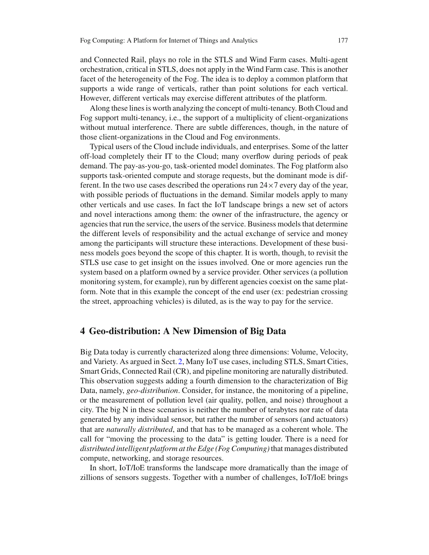and Connected Rail, plays no role in the STLS and Wind Farm cases. Multi-agent orchestration, critical in STLS, does not apply in the Wind Farm case. This is another facet of the heterogeneity of the Fog. The idea is to deploy a common platform that supports a wide range of verticals, rather than point solutions for each vertical. However, different verticals may exercise different attributes of the platform.

Along these lines is worth analyzing the concept of multi-tenancy. Both Cloud and Fog support multi-tenancy, i.e., the support of a multiplicity of client-organizations without mutual interference. There are subtle differences, though, in the nature of those client-organizations in the Cloud and Fog environments.

Typical users of the Cloud include individuals, and enterprises. Some of the latter off-load completely their IT to the Cloud; many overflow during periods of peak demand. The pay-as-you-go, task-oriented model dominates. The Fog platform also supports task-oriented compute and storage requests, but the dominant mode is different. In the two use cases described the operations run  $24 \times 7$  every day of the year, with possible periods of fluctuations in the demand. Similar models apply to many other verticals and use cases. In fact the IoT landscape brings a new set of actors and novel interactions among them: the owner of the infrastructure, the agency or agencies that run the service, the users of the service. Business models that determine the different levels of responsibility and the actual exchange of service and money among the participants will structure these interactions. Development of these business models goes beyond the scope of this chapter. It is worth, though, to revisit the STLS use case to get insight on the issues involved. One or more agencies run the system based on a platform owned by a service provider. Other services (a pollution monitoring system, for example), run by different agencies coexist on the same platform. Note that in this example the concept of the end user (ex: pedestrian crossing the street, approaching vehicles) is diluted, as is the way to pay for the service.

#### **4 Geo-distribution: A New Dimension of Big Data**

Big Data today is currently characterized along three dimensions: Volume, Velocity, and Variety. As argued in Sect. 2, Many IoT use cases, including STLS, Smart Cities, Smart Grids, Connected Rail (CR), and pipeline monitoring are naturally distributed. This observation suggests adding a fourth dimension to the characterization of Big Data, namely, *geo-distribution*. Consider, for instance, the monitoring of a pipeline, or the measurement of pollution level (air quality, pollen, and noise) throughout a city. The big N in these scenarios is neither the number of terabytes nor rate of data generated by any individual sensor, but rather the number of sensors (and actuators) that are *naturally distributed*, and that has to be managed as a coherent whole. The call for "moving the processing to the data" is getting louder. There is a need for *distributed intelligent platform at the Edge (Fog Computing)*that manages distributed compute, networking, and storage resources.

In short, IoT/IoE transforms the landscape more dramatically than the image of zillions of sensors suggests. Together with a number of challenges, IoT/IoE brings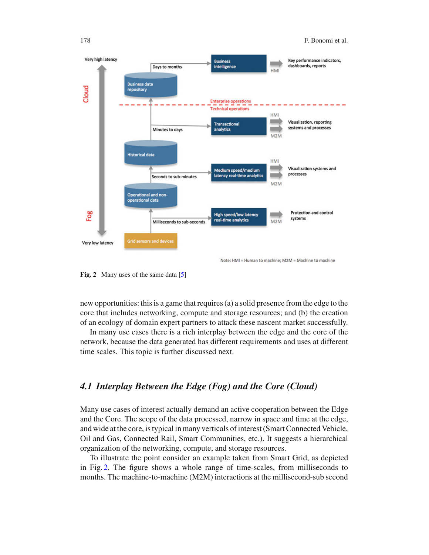

**Fig. 2** Many uses of the same data [5]

new opportunities: this is a game that requires (a) a solid presence from the edge to the core that includes networking, compute and storage resources; and (b) the creation of an ecology of domain expert partners to attack these nascent market successfully.

In many use cases there is a rich interplay between the edge and the core of the network, because the data generated has different requirements and uses at different time scales. This topic is further discussed next.

### *4.1 Interplay Between the Edge (Fog) and the Core (Cloud)*

Many use cases of interest actually demand an active cooperation between the Edge and the Core. The scope of the data processed, narrow in space and time at the edge, and wide at the core, is typical in many verticals of interest (Smart Connected Vehicle, Oil and Gas, Connected Rail, Smart Communities, etc.). It suggests a hierarchical organization of the networking, compute, and storage resources.

To illustrate the point consider an example taken from Smart Grid, as depicted in Fig. 2. The figure shows a whole range of time-scales, from milliseconds to months. The machine-to-machine (M2M) interactions at the millisecond-sub second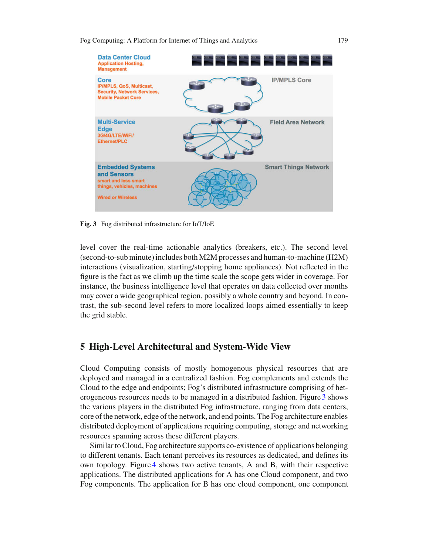Fog Computing: A Platform for Internet of Things and Analytics 179



**Fig. 3** Fog distributed infrastructure for IoT/IoE

level cover the real-time actionable analytics (breakers, etc.). The second level (second-to-sub minute) includes both M2M processes and human-to-machine (H2M) interactions (visualization, starting/stopping home appliances). Not reflected in the figure is the fact as we climb up the time scale the scope gets wider in coverage. For instance, the business intelligence level that operates on data collected over months may cover a wide geographical region, possibly a whole country and beyond. In contrast, the sub-second level refers to more localized loops aimed essentially to keep the grid stable.

#### **5 High-Level Architectural and System-Wide View**

Cloud Computing consists of mostly homogenous physical resources that are deployed and managed in a centralized fashion. Fog complements and extends the Cloud to the edge and endpoints; Fog's distributed infrastructure comprising of heterogeneous resources needs to be managed in a distributed fashion. Figure 3 shows the various players in the distributed Fog infrastructure, ranging from data centers, core of the network, edge of the network, and end points. The Fog architecture enables distributed deployment of applications requiring computing, storage and networking resources spanning across these different players.

Similar to Cloud, Fog architecture supports co-existence of applications belonging to different tenants. Each tenant perceives its resources as dedicated, and defines its own topology. Figure4 shows two active tenants, A and B, with their respective applications. The distributed applications for A has one Cloud component, and two Fog components. The application for B has one cloud component, one component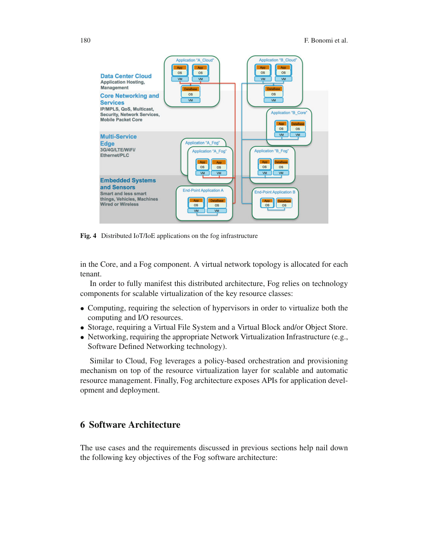

**Fig. 4** Distributed IoT/IoE applications on the fog infrastructure

in the Core, and a Fog component. A virtual network topology is allocated for each tenant.

In order to fully manifest this distributed architecture, Fog relies on technology components for scalable virtualization of the key resource classes:

- Computing, requiring the selection of hypervisors in order to virtualize both the computing and I/O resources.
- Storage, requiring a Virtual File System and a Virtual Block and/or Object Store.
- Networking, requiring the appropriate Network Virtualization Infrastructure (e.g., Software Defined Networking technology).

Similar to Cloud, Fog leverages a policy-based orchestration and provisioning mechanism on top of the resource virtualization layer for scalable and automatic resource management. Finally, Fog architecture exposes APIs for application development and deployment.

### **6 Software Architecture**

The use cases and the requirements discussed in previous sections help nail down the following key objectives of the Fog software architecture: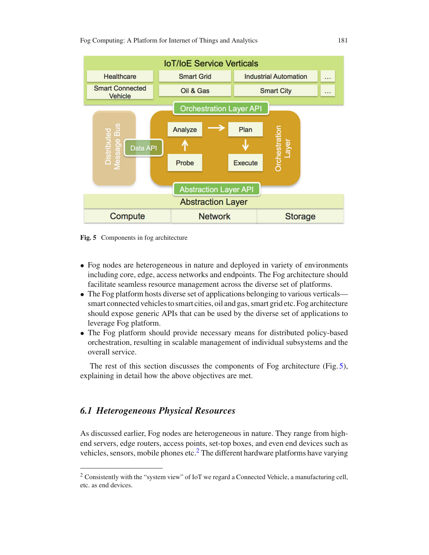

**Fig. 5** Components in fog architecture

- Fog nodes are heterogeneous in nature and deployed in variety of environments including core, edge, access networks and endpoints. The Fog architecture should facilitate seamless resource management across the diverse set of platforms.
- The Fog platform hosts diverse set of applications belonging to various verticals smart connected vehicles to smart cities, oil and gas, smart grid etc. Fog architecture should expose generic APIs that can be used by the diverse set of applications to leverage Fog platform.
- The Fog platform should provide necessary means for distributed policy-based orchestration, resulting in scalable management of individual subsystems and the overall service.

The rest of this section discusses the components of Fog architecture (Fig. 5), explaining in detail how the above objectives are met.

### *6.1 Heterogeneous Physical Resources*

As discussed earlier, Fog nodes are heterogeneous in nature. They range from highend servers, edge routers, access points, set-top boxes, and even end devices such as vehicles, sensors, mobile phones etc.<sup>2</sup> The different hardware platforms have varying

 $2$  Consistently with the "system view" of IoT we regard a Connected Vehicle, a manufacturing cell, etc. as end devices.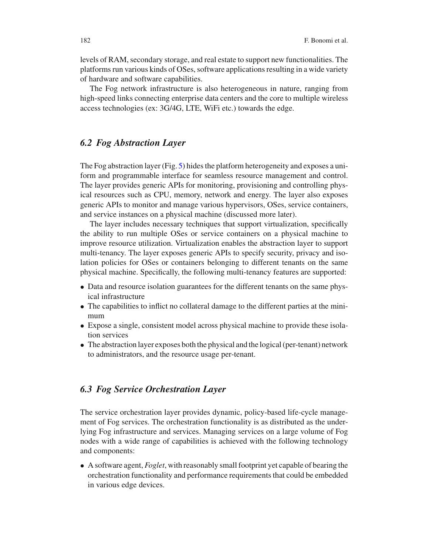levels of RAM, secondary storage, and real estate to support new functionalities. The platforms run various kinds of OSes, software applications resulting in a wide variety of hardware and software capabilities.

The Fog network infrastructure is also heterogeneous in nature, ranging from high-speed links connecting enterprise data centers and the core to multiple wireless access technologies (ex: 3G/4G, LTE, WiFi etc.) towards the edge.

#### *6.2 Fog Abstraction Layer*

The Fog abstraction layer (Fig. 5) hides the platform heterogeneity and exposes a uniform and programmable interface for seamless resource management and control. The layer provides generic APIs for monitoring, provisioning and controlling physical resources such as CPU, memory, network and energy. The layer also exposes generic APIs to monitor and manage various hypervisors, OSes, service containers, and service instances on a physical machine (discussed more later).

The layer includes necessary techniques that support virtualization, specifically the ability to run multiple OSes or service containers on a physical machine to improve resource utilization. Virtualization enables the abstraction layer to support multi-tenancy. The layer exposes generic APIs to specify security, privacy and isolation policies for OSes or containers belonging to different tenants on the same physical machine. Specifically, the following multi-tenancy features are supported:

- Data and resource isolation guarantees for the different tenants on the same physical infrastructure
- The capabilities to inflict no collateral damage to the different parties at the minimum
- Expose a single, consistent model across physical machine to provide these isolation services
- The abstraction layer exposes both the physical and the logical (per-tenant) network to administrators, and the resource usage per-tenant.

#### *6.3 Fog Service Orchestration Layer*

The service orchestration layer provides dynamic, policy-based life-cycle management of Fog services. The orchestration functionality is as distributed as the underlying Fog infrastructure and services. Managing services on a large volume of Fog nodes with a wide range of capabilities is achieved with the following technology and components:

• A software agent, *Foglet*, with reasonably small footprint yet capable of bearing the orchestration functionality and performance requirements that could be embedded in various edge devices.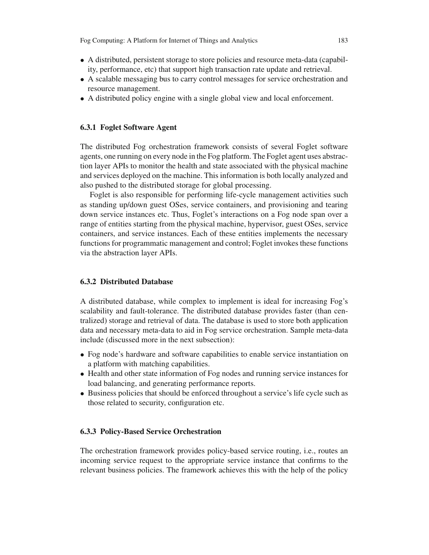- A distributed, persistent storage to store policies and resource meta-data (capability, performance, etc) that support high transaction rate update and retrieval.
- A scalable messaging bus to carry control messages for service orchestration and resource management.
- A distributed policy engine with a single global view and local enforcement.

#### **6.3.1 Foglet Software Agent**

The distributed Fog orchestration framework consists of several Foglet software agents, one running on every node in the Fog platform. The Foglet agent uses abstraction layer APIs to monitor the health and state associated with the physical machine and services deployed on the machine. This information is both locally analyzed and also pushed to the distributed storage for global processing.

Foglet is also responsible for performing life-cycle management activities such as standing up/down guest OSes, service containers, and provisioning and tearing down service instances etc. Thus, Foglet's interactions on a Fog node span over a range of entities starting from the physical machine, hypervisor, guest OSes, service containers, and service instances. Each of these entities implements the necessary functions for programmatic management and control; Foglet invokes these functions via the abstraction layer APIs.

#### **6.3.2 Distributed Database**

A distributed database, while complex to implement is ideal for increasing Fog's scalability and fault-tolerance. The distributed database provides faster (than centralized) storage and retrieval of data. The database is used to store both application data and necessary meta-data to aid in Fog service orchestration. Sample meta-data include (discussed more in the next subsection):

- Fog node's hardware and software capabilities to enable service instantiation on a platform with matching capabilities.
- Health and other state information of Fog nodes and running service instances for load balancing, and generating performance reports.
- Business policies that should be enforced throughout a service's life cycle such as those related to security, configuration etc.

#### **6.3.3 Policy-Based Service Orchestration**

The orchestration framework provides policy-based service routing, i.e., routes an incoming service request to the appropriate service instance that confirms to the relevant business policies. The framework achieves this with the help of the policy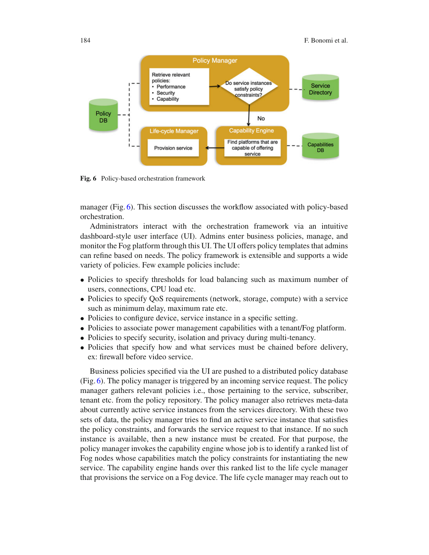

**Fig. 6** Policy-based orchestration framework

manager (Fig. 6). This section discusses the workflow associated with policy-based orchestration.

Administrators interact with the orchestration framework via an intuitive dashboard-style user interface (UI). Admins enter business policies, manage, and monitor the Fog platform through this UI. The UI offers policy templates that admins can refine based on needs. The policy framework is extensible and supports a wide variety of policies. Few example policies include:

- Policies to specify thresholds for load balancing such as maximum number of users, connections, CPU load etc.
- Policies to specify QoS requirements (network, storage, compute) with a service such as minimum delay, maximum rate etc.
- Policies to configure device, service instance in a specific setting.
- Policies to associate power management capabilities with a tenant/Fog platform.
- Policies to specify security, isolation and privacy during multi-tenancy.
- Policies that specify how and what services must be chained before delivery, ex: firewall before video service.

Business policies specified via the UI are pushed to a distributed policy database (Fig. 6). The policy manager is triggered by an incoming service request. The policy manager gathers relevant policies i.e., those pertaining to the service, subscriber, tenant etc. from the policy repository. The policy manager also retrieves meta-data about currently active service instances from the services directory. With these two sets of data, the policy manager tries to find an active service instance that satisfies the policy constraints, and forwards the service request to that instance. If no such instance is available, then a new instance must be created. For that purpose, the policy manager invokes the capability engine whose job is to identify a ranked list of Fog nodes whose capabilities match the policy constraints for instantiating the new service. The capability engine hands over this ranked list to the life cycle manager that provisions the service on a Fog device. The life cycle manager may reach out to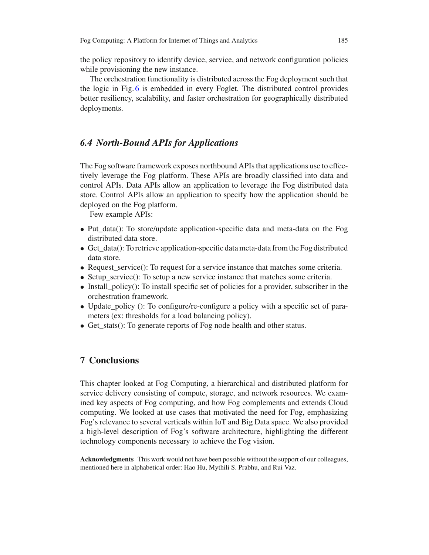the policy repository to identify device, service, and network configuration policies while provisioning the new instance.

The orchestration functionality is distributed across the Fog deployment such that the logic in Fig. 6 is embedded in every Foglet. The distributed control provides better resiliency, scalability, and faster orchestration for geographically distributed deployments.

#### *6.4 North-Bound APIs for Applications*

The Fog software framework exposes northbound APIs that applications use to effectively leverage the Fog platform. These APIs are broadly classified into data and control APIs. Data APIs allow an application to leverage the Fog distributed data store. Control APIs allow an application to specify how the application should be deployed on the Fog platform.

Few example APIs:

- Put data(): To store/update application-specific data and meta-data on the Fog distributed data store.
- Get\_data(): To retrieve application-specific data meta-data from the Fog distributed data store.
- Request service(): To request for a service instance that matches some criteria.
- Setup\_service(): To setup a new service instance that matches some criteria.
- Install\_policy(): To install specific set of policies for a provider, subscriber in the orchestration framework.
- Update\_policy (): To configure/re-configure a policy with a specific set of parameters (ex: thresholds for a load balancing policy).
- Get\_stats(): To generate reports of Fog node health and other status.

### **7 Conclusions**

This chapter looked at Fog Computing, a hierarchical and distributed platform for service delivery consisting of compute, storage, and network resources. We examined key aspects of Fog computing, and how Fog complements and extends Cloud computing. We looked at use cases that motivated the need for Fog, emphasizing Fog's relevance to several verticals within IoT and Big Data space. We also provided a high-level description of Fog's software architecture, highlighting the different technology components necessary to achieve the Fog vision.

**Acknowledgments** This work would not have been possible without the support of our colleagues, mentioned here in alphabetical order: Hao Hu, Mythili S. Prabhu, and Rui Vaz.